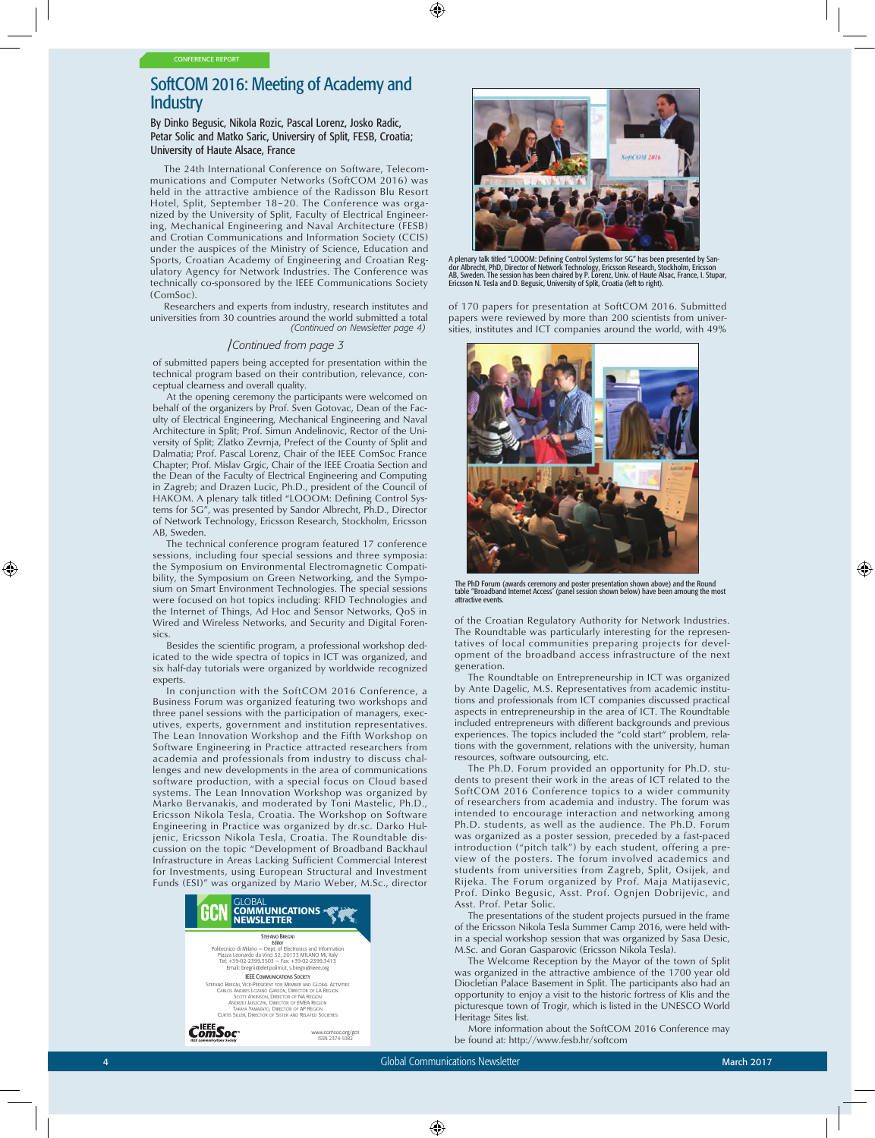# SoftCOM 2016: Meeting of Academy and **Industry**

#### By Dinko Begusic, Nikola Rozic, Pascal Lorenz, Josko Radic, Petar Solic and Matko Saric, Universiry of Split, FESB, Croatia; University of Haute Alsace, France

The 24th International Conference on Software, Telecommunications and Computer Networks (SoftCOM 2016) was held in the attractive ambience of the Radisson Blu Resort Hotel, Split, September 18–20. The Conference was organized by the University of Split, Faculty of Electrical Engineering, Mechanical Engineering and Naval Architecture (FESB) and Crotian Communications and Information Society (CCIS) under the auspices of the Ministry of Science, Education and Sports, Croatian Academy of Engineering and Croatian Regulatory Agency for Network Industries. The Conference was technically co-sponsored by the IEEE Communications Society (ComSoc).

Researchers and experts from industry, research institutes and universities from 30 countries around the world submitted a total *(Continued on Newsletter page 4)*

#### /*Continued from page 3*

of submitted papers being accepted for presentation within the technical program based on their contribution, relevance, conceptual clearness and overall quality.

At the opening ceremony the participants were welcomed on behalf of the organizers by Prof. Sven Gotovac, Dean of the Faculty of Electrical Engineering, Mechanical Engineering and Naval Architecture in Split; Prof. Simun Andelinovic, Rector of the University of Split; Zlatko Zevrnja, Prefect of the County of Split and Dalmatia; Prof. Pascal Lorenz, Chair of the IEEE ComSoc France Chapter; Prof. Mislav Grgic, Chair of the IEEE Croatia Section and the Dean of the Faculty of Electrical Engineering and Computing in Zagreb; and Drazen Lucic, Ph.D., president of the Council of HAKOM. A plenary talk titled "LOOOM: Defining Control Systems for 5G", was presented by Sandor Albrecht, Ph.D., Director of Network Technology, Ericsson Research, Stockholm, Ericsson AB, Sweden.

The technical conference program featured 17 conference sessions, including four special sessions and three symposia: the Symposium on Environmental Electromagnetic Compatibility, the Symposium on Green Networking, and the Symposium on Smart Environment Technologies. The special sessions were focused on hot topics including: RFID Technologies and the Internet of Things, Ad Hoc and Sensor Networks, QoS in Wired and Wireless Networks, and Security and Digital Forensics.

Besides the scientific program, a professional workshop dedicated to the wide spectra of topics in ICT was organized, and six half-day tutorials were organized by worldwide recognized experts.

In conjunction with the SoftCOM 2016 Conference, a Business Forum was organized featuring two workshops and three panel sessions with the participation of managers, executives, experts, government and institution representatives. The Lean Innovation Workshop and the Fifth Workshop on Software Engineering in Practice attracted researchers from academia and professionals from industry to discuss challenges and new developments in the area of communications software production, with a special focus on Cloud based systems. The Lean Innovation Workshop was organized by Marko Bervanakis, and moderated by Toni Mastelic, Ph.D., Ericsson Nikola Tesla, Croatia. The Workshop on Software Engineering in Practice was organized by dr.sc. Darko Huljenic, Ericsson Nikola Tesla, Croatia. The Roundtable discussion on the topic "Development of Broadband Backhaul Infrastructure in Areas Lacking Sufficient Commercial Interest for Investments, using European Structural and Investment Funds (ESI)" was organized by Mario Weber, M.Sc., director





A plenary talk titled "LOOOM: Defining Control Systems for 5G" has been presented by San-<br>dor Albrecht, PhD, Director of Network Technology, Ericsson Research, Stockholm, Ericsson<br>AB, Sweden. The session has been chaired b

of 170 papers for presentation at SoftCOM 2016. Submitted papers were reviewed by more than 200 scientists from universities, institutes and ICT companies around the world, with 49%



The PhD Forum (awards ceremony and poster presentation shown above) and the Round table "Broadband Internet Access˝ (panel session shown below) have been amoung the most attractive events.

of the Croatian Regulatory Authority for Network Industries. The Roundtable was particularly interesting for the representatives of local communities preparing projects for development of the broadband access infrastructure of the next generation.

The Roundtable on Entrepreneurship in ICT was organized by Ante Dagelic, M.S. Representatives from academic institutions and professionals from ICT companies discussed practical aspects in entrepreneurship in the area of ICT. The Roundtable included entrepreneurs with different backgrounds and previous experiences. The topics included the "cold start" problem, relations with the government, relations with the university, human resources, software outsourcing, etc.

The Ph.D. Forum provided an opportunity for Ph.D. students to present their work in the areas of ICT related to the SoftCOM 2016 Conference topics to a wider community of researchers from academia and industry. The forum was intended to encourage interaction and networking among Ph.D. students, as well as the audience. The Ph.D. Forum was organized as a poster session, preceded by a fast-paced introduction ("pitch talk") by each student, offering a preview of the posters. The forum involved academics and students from universities from Zagreb, Split, Osijek, and Rijeka. The Forum organized by Prof. Maja Matijasevic, Prof. Dinko Begusic, Asst. Prof. Ognjen Dobrijevic, and Asst. Prof. Petar Solic.

The presentations of the student projects pursued in the frame of the Ericsson Nikola Tesla Summer Camp 2016, were held within a special workshop session that was organized by Sasa Desic, M.Sc. and Goran Gasparovic (Ericsson Nikola Tesla).

The Welc[ome Reception by the Mayor of](http://www.fesb.hr/softcom) the town of Split was organized in the attractive ambience of the 1700 year old Diocletian Palace Basement in Split. The participants also had an opportunity to enjoy a visit to the historic fortress of Klis and the picturesque town of Trogir, which is listed in the UNESCO World Heritage Sites list.

More information about the SoftCOM 2016 Conference may be found at: http://www.fesb.hr/softcom